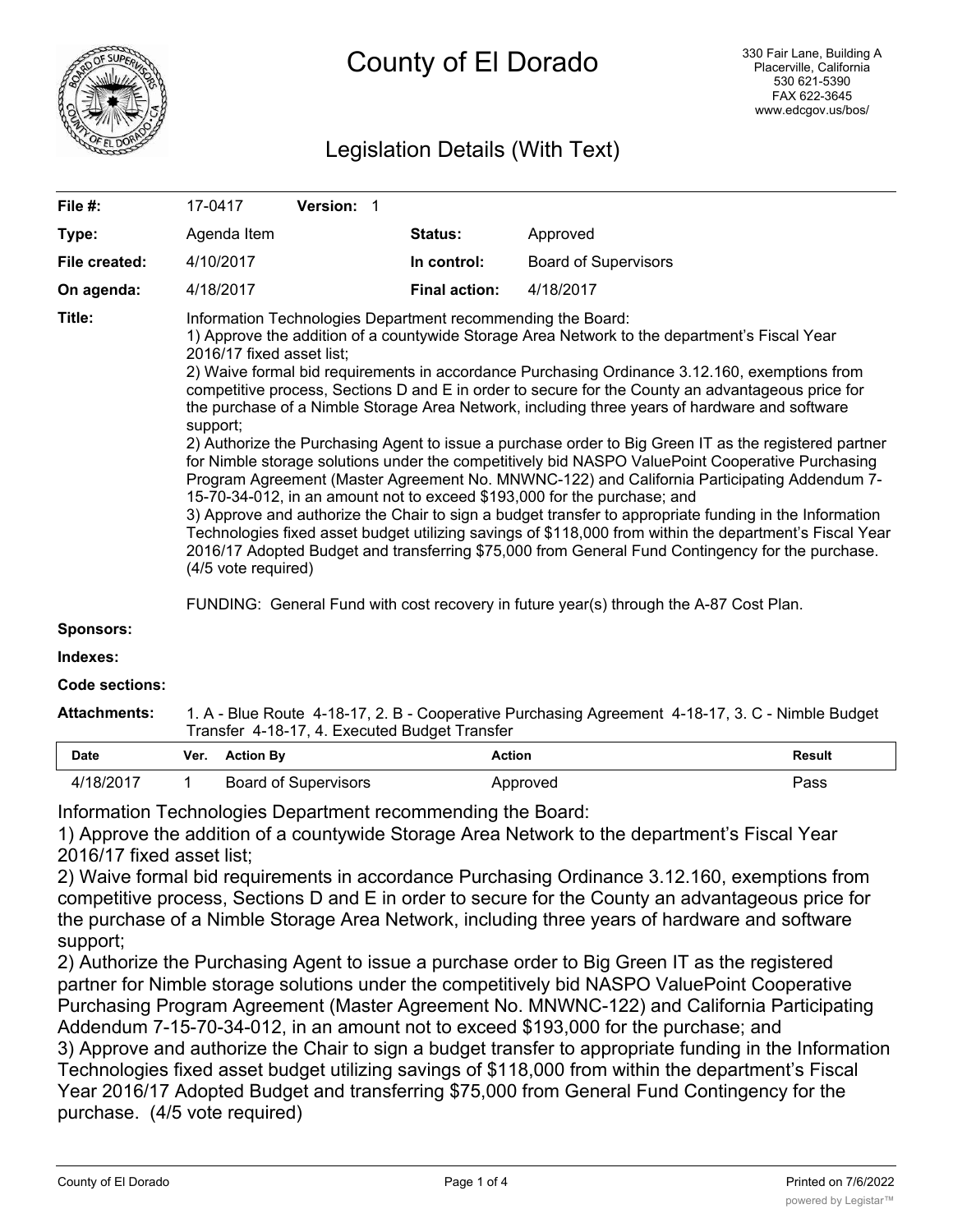

# Legislation Details (With Text)

| File #:               | 17-0417                                                                                                                                                                                                                                                                                                                                                                                                                                                                                                                                                                                                                                                                                                                                                                                                                                                                                                                                                                                                                                                                                                                                                                                                                                             | Version: 1 |                      |                             |  |  |
|-----------------------|-----------------------------------------------------------------------------------------------------------------------------------------------------------------------------------------------------------------------------------------------------------------------------------------------------------------------------------------------------------------------------------------------------------------------------------------------------------------------------------------------------------------------------------------------------------------------------------------------------------------------------------------------------------------------------------------------------------------------------------------------------------------------------------------------------------------------------------------------------------------------------------------------------------------------------------------------------------------------------------------------------------------------------------------------------------------------------------------------------------------------------------------------------------------------------------------------------------------------------------------------------|------------|----------------------|-----------------------------|--|--|
| Type:                 | Agenda Item                                                                                                                                                                                                                                                                                                                                                                                                                                                                                                                                                                                                                                                                                                                                                                                                                                                                                                                                                                                                                                                                                                                                                                                                                                         |            | Status:              | Approved                    |  |  |
| File created:         | 4/10/2017                                                                                                                                                                                                                                                                                                                                                                                                                                                                                                                                                                                                                                                                                                                                                                                                                                                                                                                                                                                                                                                                                                                                                                                                                                           |            | In control:          | <b>Board of Supervisors</b> |  |  |
| On agenda:            | 4/18/2017                                                                                                                                                                                                                                                                                                                                                                                                                                                                                                                                                                                                                                                                                                                                                                                                                                                                                                                                                                                                                                                                                                                                                                                                                                           |            | <b>Final action:</b> | 4/18/2017                   |  |  |
| Title:                | Information Technologies Department recommending the Board:<br>1) Approve the addition of a countywide Storage Area Network to the department's Fiscal Year<br>2016/17 fixed asset list;<br>2) Waive formal bid requirements in accordance Purchasing Ordinance 3.12.160, exemptions from<br>competitive process, Sections D and E in order to secure for the County an advantageous price for<br>the purchase of a Nimble Storage Area Network, including three years of hardware and software<br>support;<br>2) Authorize the Purchasing Agent to issue a purchase order to Big Green IT as the registered partner<br>for Nimble storage solutions under the competitively bid NASPO ValuePoint Cooperative Purchasing<br>Program Agreement (Master Agreement No. MNWNC-122) and California Participating Addendum 7-<br>15-70-34-012, in an amount not to exceed \$193,000 for the purchase; and<br>3) Approve and authorize the Chair to sign a budget transfer to appropriate funding in the Information<br>Technologies fixed asset budget utilizing savings of \$118,000 from within the department's Fiscal Year<br>2016/17 Adopted Budget and transferring \$75,000 from General Fund Contingency for the purchase.<br>(4/5 vote required) |            |                      |                             |  |  |
|                       | FUNDING: General Fund with cost recovery in future year(s) through the A-87 Cost Plan.                                                                                                                                                                                                                                                                                                                                                                                                                                                                                                                                                                                                                                                                                                                                                                                                                                                                                                                                                                                                                                                                                                                                                              |            |                      |                             |  |  |
| Sponsors:             |                                                                                                                                                                                                                                                                                                                                                                                                                                                                                                                                                                                                                                                                                                                                                                                                                                                                                                                                                                                                                                                                                                                                                                                                                                                     |            |                      |                             |  |  |
| Indexes:              |                                                                                                                                                                                                                                                                                                                                                                                                                                                                                                                                                                                                                                                                                                                                                                                                                                                                                                                                                                                                                                                                                                                                                                                                                                                     |            |                      |                             |  |  |
| <b>Code sections:</b> |                                                                                                                                                                                                                                                                                                                                                                                                                                                                                                                                                                                                                                                                                                                                                                                                                                                                                                                                                                                                                                                                                                                                                                                                                                                     |            |                      |                             |  |  |
| <b>Attachments:</b>   | 1. A - Blue Route 4-18-17, 2. B - Cooperative Purchasing Agreement 4-18-17, 3. C - Nimble Budget                                                                                                                                                                                                                                                                                                                                                                                                                                                                                                                                                                                                                                                                                                                                                                                                                                                                                                                                                                                                                                                                                                                                                    |            |                      |                             |  |  |

| Transfer 4-18-17, 4. Executed Budget Transfer |  |                      |          |        |  |  |
|-----------------------------------------------|--|----------------------|----------|--------|--|--|
| <b>Date</b>                                   |  | Ver. Action By       | Action   | Result |  |  |
| 4/18/2017                                     |  | Board of Supervisors | Approved | Pass   |  |  |

Information Technologies Department recommending the Board:

1) Approve the addition of a countywide Storage Area Network to the department's Fiscal Year 2016/17 fixed asset list;

2) Waive formal bid requirements in accordance Purchasing Ordinance 3.12.160, exemptions from competitive process, Sections D and E in order to secure for the County an advantageous price for the purchase of a Nimble Storage Area Network, including three years of hardware and software support;

2) Authorize the Purchasing Agent to issue a purchase order to Big Green IT as the registered partner for Nimble storage solutions under the competitively bid NASPO ValuePoint Cooperative Purchasing Program Agreement (Master Agreement No. MNWNC-122) and California Participating Addendum 7-15-70-34-012, in an amount not to exceed \$193,000 for the purchase; and 3) Approve and authorize the Chair to sign a budget transfer to appropriate funding in the Information Technologies fixed asset budget utilizing savings of \$118,000 from within the department's Fiscal Year 2016/17 Adopted Budget and transferring \$75,000 from General Fund Contingency for the purchase. (4/5 vote required)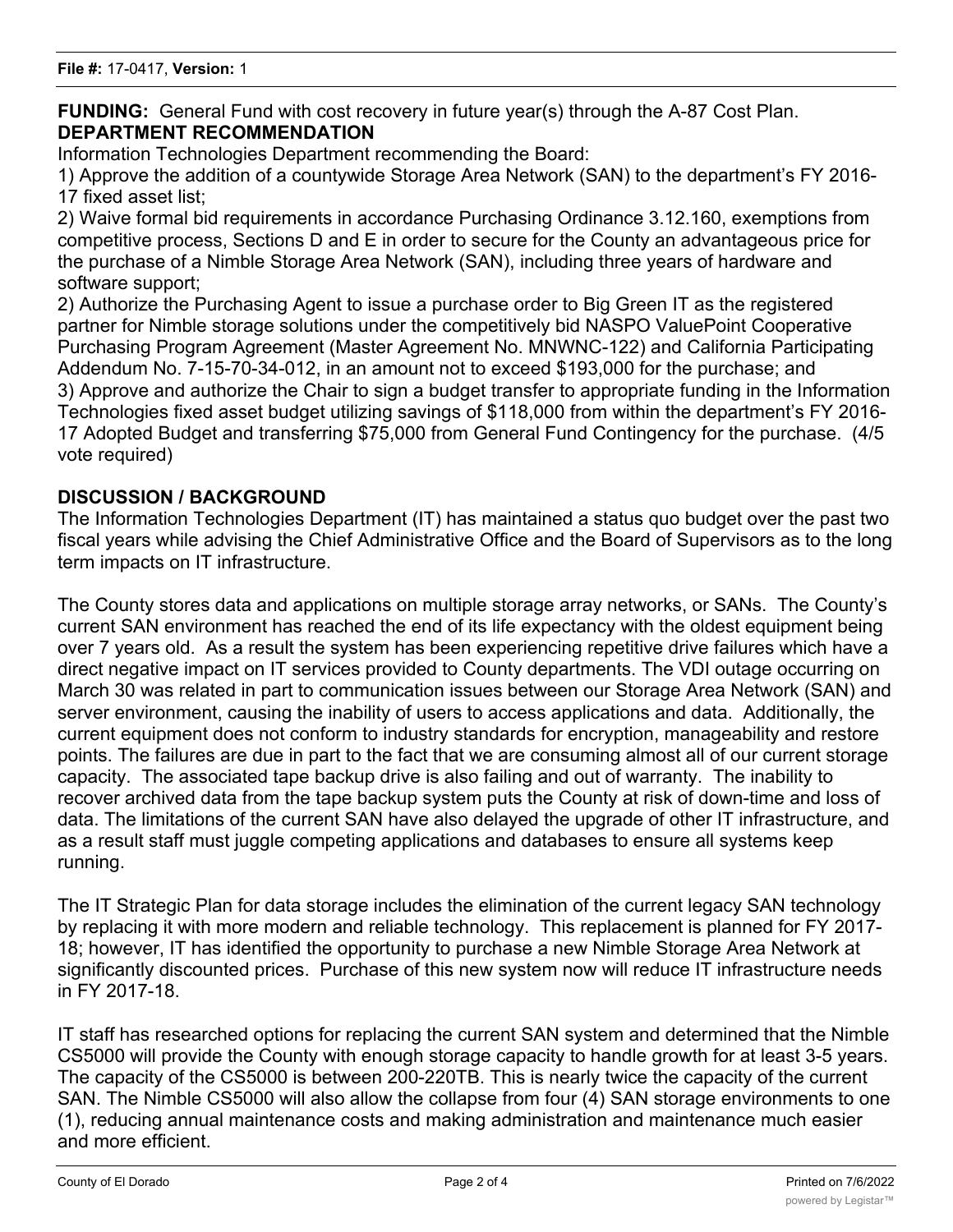**FUNDING:** General Fund with cost recovery in future year(s) through the A-87 Cost Plan. **DEPARTMENT RECOMMENDATION**

Information Technologies Department recommending the Board:

1) Approve the addition of a countywide Storage Area Network (SAN) to the department's FY 2016- 17 fixed asset list;

2) Waive formal bid requirements in accordance Purchasing Ordinance 3.12.160, exemptions from competitive process, Sections D and E in order to secure for the County an advantageous price for the purchase of a Nimble Storage Area Network (SAN), including three years of hardware and software support;

2) Authorize the Purchasing Agent to issue a purchase order to Big Green IT as the registered partner for Nimble storage solutions under the competitively bid NASPO ValuePoint Cooperative Purchasing Program Agreement (Master Agreement No. MNWNC-122) and California Participating Addendum No. 7-15-70-34-012, in an amount not to exceed \$193,000 for the purchase; and 3) Approve and authorize the Chair to sign a budget transfer to appropriate funding in the Information Technologies fixed asset budget utilizing savings of \$118,000 from within the department's FY 2016- 17 Adopted Budget and transferring \$75,000 from General Fund Contingency for the purchase. (4/5 vote required)

# **DISCUSSION / BACKGROUND**

The Information Technologies Department (IT) has maintained a status quo budget over the past two fiscal years while advising the Chief Administrative Office and the Board of Supervisors as to the long term impacts on IT infrastructure.

The County stores data and applications on multiple storage array networks, or SANs. The County's current SAN environment has reached the end of its life expectancy with the oldest equipment being over 7 years old. As a result the system has been experiencing repetitive drive failures which have a direct negative impact on IT services provided to County departments. The VDI outage occurring on March 30 was related in part to communication issues between our Storage Area Network (SAN) and server environment, causing the inability of users to access applications and data. Additionally, the current equipment does not conform to industry standards for encryption, manageability and restore points. The failures are due in part to the fact that we are consuming almost all of our current storage capacity. The associated tape backup drive is also failing and out of warranty. The inability to recover archived data from the tape backup system puts the County at risk of down-time and loss of data. The limitations of the current SAN have also delayed the upgrade of other IT infrastructure, and as a result staff must juggle competing applications and databases to ensure all systems keep running.

The IT Strategic Plan for data storage includes the elimination of the current legacy SAN technology by replacing it with more modern and reliable technology. This replacement is planned for FY 2017- 18; however, IT has identified the opportunity to purchase a new Nimble Storage Area Network at significantly discounted prices. Purchase of this new system now will reduce IT infrastructure needs in FY 2017-18.

IT staff has researched options for replacing the current SAN system and determined that the Nimble CS5000 will provide the County with enough storage capacity to handle growth for at least 3-5 years. The capacity of the CS5000 is between 200-220TB. This is nearly twice the capacity of the current SAN. The Nimble CS5000 will also allow the collapse from four (4) SAN storage environments to one (1), reducing annual maintenance costs and making administration and maintenance much easier and more efficient.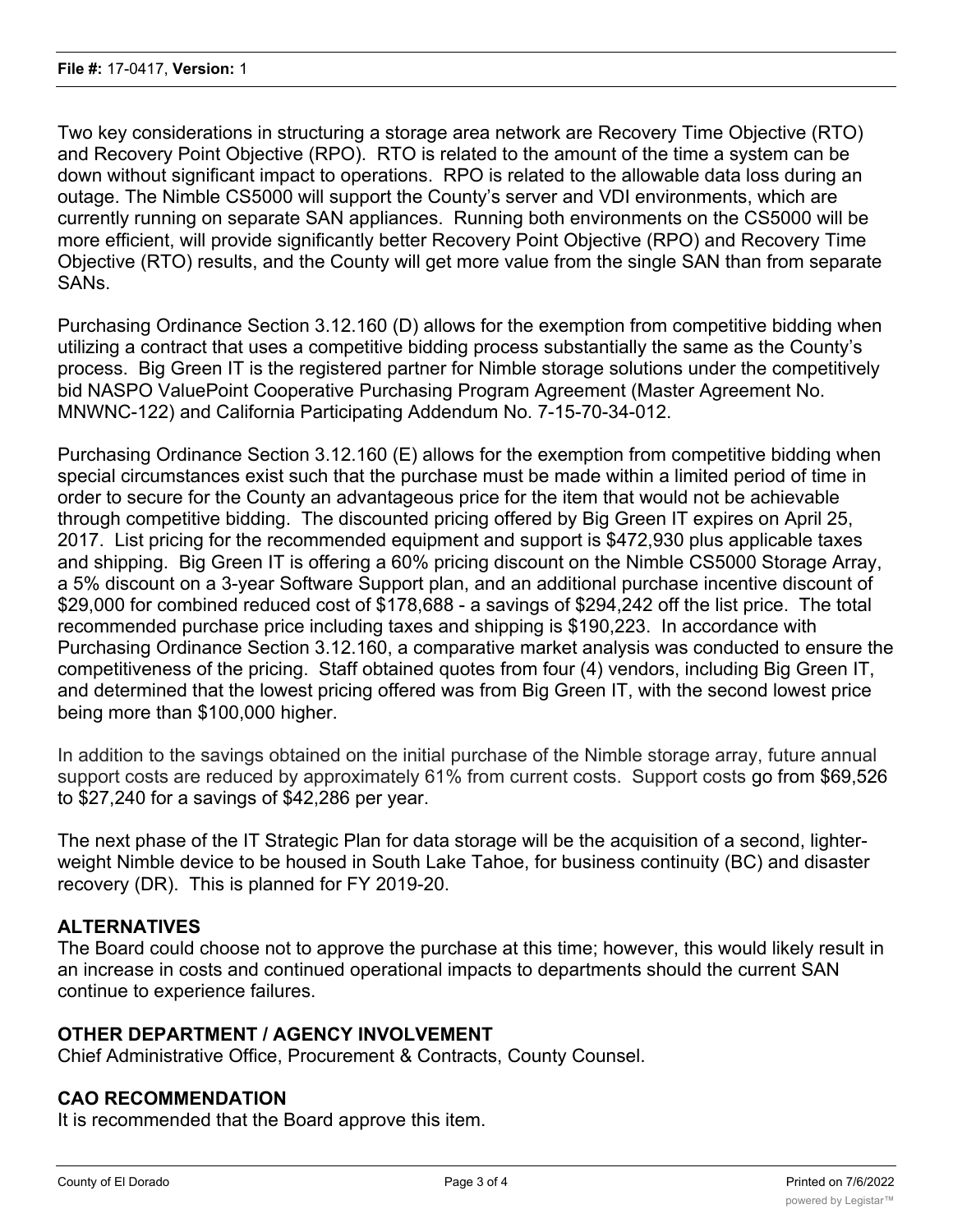Two key considerations in structuring a storage area network are Recovery Time Objective (RTO) and Recovery Point Objective (RPO). RTO is related to the amount of the time a system can be down without significant impact to operations. RPO is related to the allowable data loss during an outage. The Nimble CS5000 will support the County's server and VDI environments, which are currently running on separate SAN appliances. Running both environments on the CS5000 will be more efficient, will provide significantly better Recovery Point Objective (RPO) and Recovery Time Objective (RTO) results, and the County will get more value from the single SAN than from separate SANs.

Purchasing Ordinance Section 3.12.160 (D) allows for the exemption from competitive bidding when utilizing a contract that uses a competitive bidding process substantially the same as the County's process. Big Green IT is the registered partner for Nimble storage solutions under the competitively bid NASPO ValuePoint Cooperative Purchasing Program Agreement (Master Agreement No. MNWNC-122) and California Participating Addendum No. 7-15-70-34-012.

Purchasing Ordinance Section 3.12.160 (E) allows for the exemption from competitive bidding when special circumstances exist such that the purchase must be made within a limited period of time in order to secure for the County an advantageous price for the item that would not be achievable through competitive bidding. The discounted pricing offered by Big Green IT expires on April 25, 2017. List pricing for the recommended equipment and support is \$472,930 plus applicable taxes and shipping. Big Green IT is offering a 60% pricing discount on the Nimble CS5000 Storage Array, a 5% discount on a 3-year Software Support plan, and an additional purchase incentive discount of \$29,000 for combined reduced cost of \$178,688 - a savings of \$294,242 off the list price. The total recommended purchase price including taxes and shipping is \$190,223. In accordance with Purchasing Ordinance Section 3.12.160, a comparative market analysis was conducted to ensure the competitiveness of the pricing. Staff obtained quotes from four (4) vendors, including Big Green IT, and determined that the lowest pricing offered was from Big Green IT, with the second lowest price being more than \$100,000 higher.

In addition to the savings obtained on the initial purchase of the Nimble storage array, future annual support costs are reduced by approximately 61% from current costs. Support costs go from \$69,526 to \$27,240 for a savings of \$42,286 per year.

The next phase of the IT Strategic Plan for data storage will be the acquisition of a second, lighterweight Nimble device to be housed in South Lake Tahoe, for business continuity (BC) and disaster recovery (DR). This is planned for FY 2019-20.

# **ALTERNATIVES**

The Board could choose not to approve the purchase at this time; however, this would likely result in an increase in costs and continued operational impacts to departments should the current SAN continue to experience failures.

# **OTHER DEPARTMENT / AGENCY INVOLVEMENT**

Chief Administrative Office, Procurement & Contracts, County Counsel.

#### **CAO RECOMMENDATION**

It is recommended that the Board approve this item.